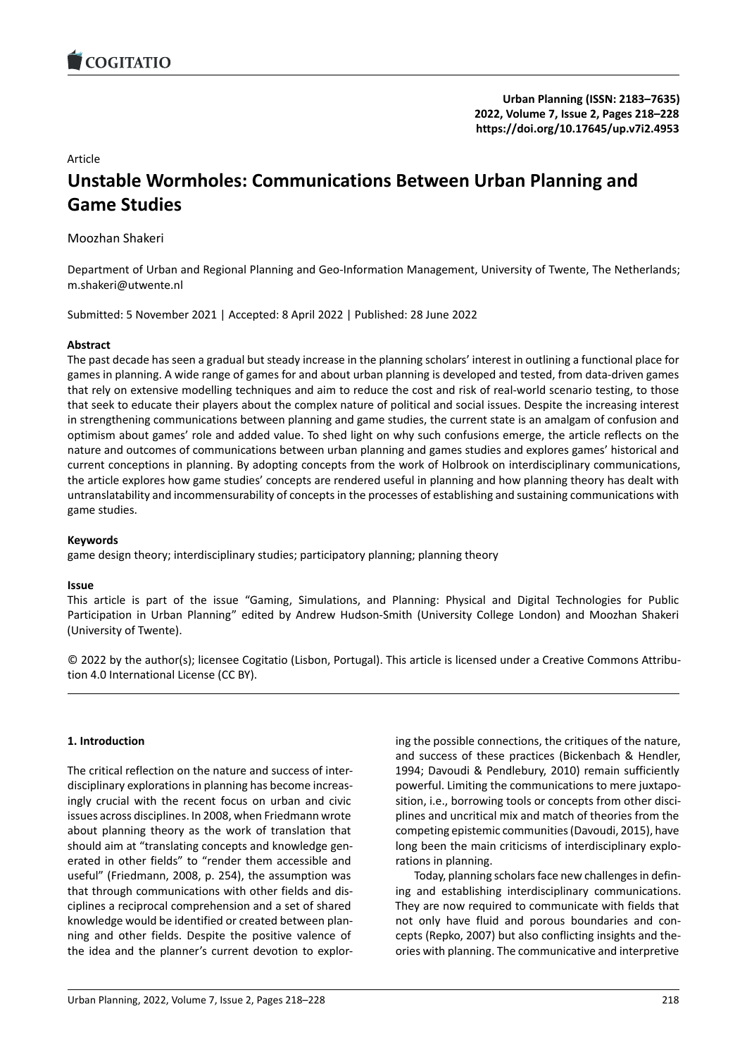### Article

# **Unstable Wormholes: Communications Between [Urban Planning and](https://doi.org/10.17645/up.v7i2.4953) Game Studies**

Moozhan Shakeri

Department of Urban and Regional Planning and Geo-Information Management, University of Twente, The Netherlands; m.shakeri@utwente.nl

Submitted: 5 November 2021 | Accepted: 8 April 2022 | Published: 28 June 2022

### **Abstract**

The past decade has seen a gradual but steady increase in the planning scholars' interest in outlining a functional place for games in planning. A wide range of games for and about urban planning is developed and tested, from data‐driven games that rely on extensive modelling techniques and aim to reduce the cost and risk of real‐world scenario testing, to those that seek to educate their players about the complex nature of political and social issues. Despite the increasing interest in strengthening communications between planning and game studies, the current state is an amalgam of confusion and optimism about games' role and added value. To shed light on why such confusions emerge, the article reflects on the nature and outcomes of communications between urban planning and games studies and explores games' historical and current conceptions in planning. By adopting concepts from the work of Holbrook on interdisciplinary communications, the article explores how game studies' concepts are rendered useful in planning and how planning theory has dealt with untranslatability and incommensurability of concepts in the processes of establishing and sustaining communications with game studies.

### **Keywords**

game design theory; interdisciplinary studies; participatory planning; planning theory

### **Issue**

This article is part of the issue "Gaming, Simulations, and Planning: Physical and Digital Technologies for Public Participation in Urban Planning" edited by Andrew Hudson‐Smith (University College London) and Moozhan Shakeri (University of Twente).

© 2022 by the author(s); licensee Cogitatio (Lisbon, Portugal). This article is licensed under a Creative Commons Attribu‐ tion 4.0 International License (CC BY).

### **1. Introduction**

The critical reflection on the nature and success of inter‐ disciplinary explorations in planning has become increas‐ ingly crucial with the recent focus on urban and civic issues across disciplines. In 2008, when Friedmann wrote about planning theory as the work of translation that should aim at "translating concepts and knowledge gen‐ erated in other fields" to "render them accessible and useful" (Friedmann, 2008, p. 254), the assumption was that through communications with other fields and dis‐ ciplines a reciprocal comprehension and a set of shared knowledge would be identified or created between plan‐ ning and other fields. Despite the positive valence of the idea and the planner's current devotion to explor‐ ing the possible connections, the critiques of the nature, and success of these practices (Bickenbach & Hendler, 1994; Davoudi & Pendlebury, 2010) remain sufficiently powerful. Limiting the communications to mere juxtapo‐ sition, i.e., borrowing tools or concepts from other disciplines and uncritical mix and match of theories from the competing epistemic communities (Davoudi, 2015), have long been the main criticisms of interdisciplinary explo‐ rations in planning.

Today, planning scholars face new challenges in defin‐ ing and establishing interdisciplinary communications. They are now required to communicate with fields that not only have fluid and porous boundaries and con‐ cepts (Repko, 2007) but also conflicting insights and the‐ ories with planning. The communicative and interpretive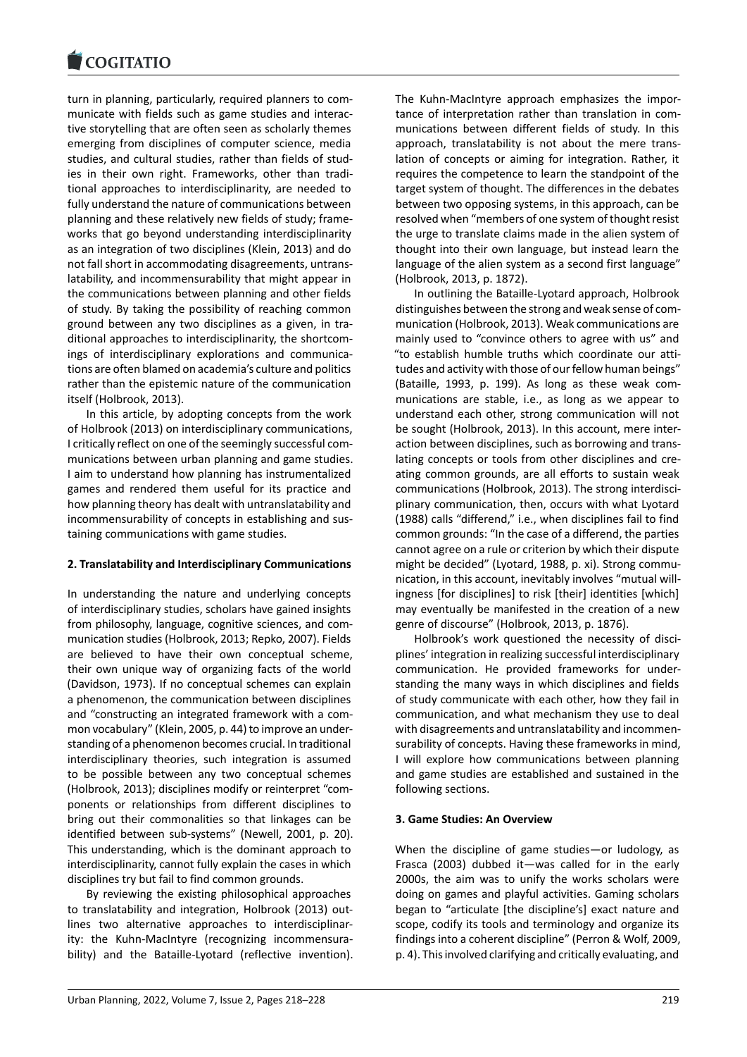turn in planning, particularly, required planners to com‐ [municate with fields](https://www.cogitatiopress.com) such as game studies and interac‐ tive storytelling that are often seen as scholarly themes emerging from disciplines of computer science, media studies, and cultural studies, rather than fields of stud‐ ies in their own right. Frameworks, other than tradi‐ tional approaches to interdisciplinarity, are needed to fully understand the nature of communications between planning and these relatively new fields of study; frame‐ works that go beyond understanding interdisciplinarity as an integration of two disciplines (Klein, 2013) and do not fall short in accommodating disagreements, untrans‐ latability, and incommensurability that might appear in the communications between planning and other fields of study. By taking the possibility of reaching common ground between any two disciplines as a given, in tra‐ ditional approaches to interdisciplinarity, the shortcom‐ ings of interdisciplinary explorations and communica‐ tions are often blamed on academia's culture and politics rather than the epistemic nature of the communication itself (Holbrook, 2013).

In this article, by adopting concepts from the work of Holbrook (2013) on interdisciplinary communications, I critically reflect on one of the seemingly successful com‐ munications between urban planning and game studies. I aim to understand how planning has instrumentalized games and rendered them useful for its practice and how planning theory has dealt with untranslatability and incommensurability of concepts in establishing and sus‐ taining communications with game studies.

### **2. Translatability and Interdisciplinary Communications**

In understanding the nature and underlying concepts of interdisciplinary studies, scholars have gained insights from philosophy, language, cognitive sciences, and com‐ munication studies (Holbrook, 2013; Repko, 2007). Fields are believed to have their own conceptual scheme, their own unique way of organizing facts of the world (Davidson, 1973). If no conceptual schemes can explain a phenomenon, the communication between disciplines and "constructing an integrated framework with a com‐ mon vocabulary" (Klein, 2005, p. 44) to improve an under‐ standing of a phenomenon becomes crucial. In traditional interdisciplinary theories, such integration is assumed to be possible between any two conceptual schemes (Holbrook, 2013); disciplines modify or reinterpret "com‐ ponents or relationships from different disciplines to bring out their commonalities so that linkages can be identified between sub‐systems" (Newell, 2001, p. 20). This understanding, which is the dominant approach to interdisciplinarity, cannot fully explain the cases in which disciplines try but fail to find common grounds.

By reviewing the existing philosophical approaches to translatability and integration, Holbrook (2013) out‐ lines two alternative approaches to interdisciplinar‐ ity: the Kuhn-MacIntyre (recognizing incommensurability) and the Bataille-Lyotard (reflective invention). The Kuhn‐MacIntyre approach emphasizes the impor‐ tance of interpretation rather than translation in com‐ munications between different fields of study. In this approach, translatability is not about the mere trans‐ lation of concepts or aiming for integration. Rather, it requires the competence to learn the standpoint of the target system of thought. The differences in the debates between two opposing systems, in this approach, can be resolved when "members of one system of thought resist the urge to translate claims made in the alien system of thought into their own language, but instead learn the language of the alien system as a second first language" (Holbrook, 2013, p. 1872).

In outlining the Bataille‐Lyotard approach, Holbrook distinguishes between the strong and weak sense of com‐ munication (Holbrook, 2013). Weak communications are mainly used to "convince others to agree with us" and "to establish humble truths which coordinate our atti‐ tudes and activity with those of our fellow human beings" (Bataille, 1993, p. 199). As long as these weak com‐ munications are stable, i.e., as long as we appear to understand each other, strong communication will not be sought (Holbrook, 2013). In this account, mere inter‐ action between disciplines, such as borrowing and trans‐ lating concepts or tools from other disciplines and cre‐ ating common grounds, are all efforts to sustain weak communications (Holbrook, 2013). The strong interdisci‐ plinary communication, then, occurs with what Lyotard (1988) calls "differend," i.e., when disciplines fail to find common grounds: "In the case of a differend, the parties cannot agree on a rule or criterion by which their dispute might be decided" (Lyotard, 1988, p. xi). Strong commu‐ nication, in this account, inevitably involves "mutual will‐ ingness [for disciplines] to risk [their] identities [which] may eventually be manifested in the creation of a new genre of discourse" (Holbrook, 2013, p. 1876).

Holbrook's work questioned the necessity of disci‐ plines' integration in realizing successful interdisciplinary communication. He provided frameworks for under‐ standing the many ways in which disciplines and fields of study communicate with each other, how they fail in communication, and what mechanism they use to deal with disagreements and untranslatability and incommensurability of concepts. Having these frameworks in mind, I will explore how communications between planning and game studies are established and sustained in the following sections.

### **3. Game Studies: An Overview**

When the discipline of game studies—or ludology, as Frasca (2003) dubbed it—was called for in the early 2000s, the aim was to unify the works scholars were doing on games and playful activities. Gaming scholars began to "articulate [the discipline's] exact nature and scope, codify its tools and terminology and organize its findings into a coherent discipline" (Perron & Wolf, 2009, p. 4). This involved clarifying and critically evaluating, and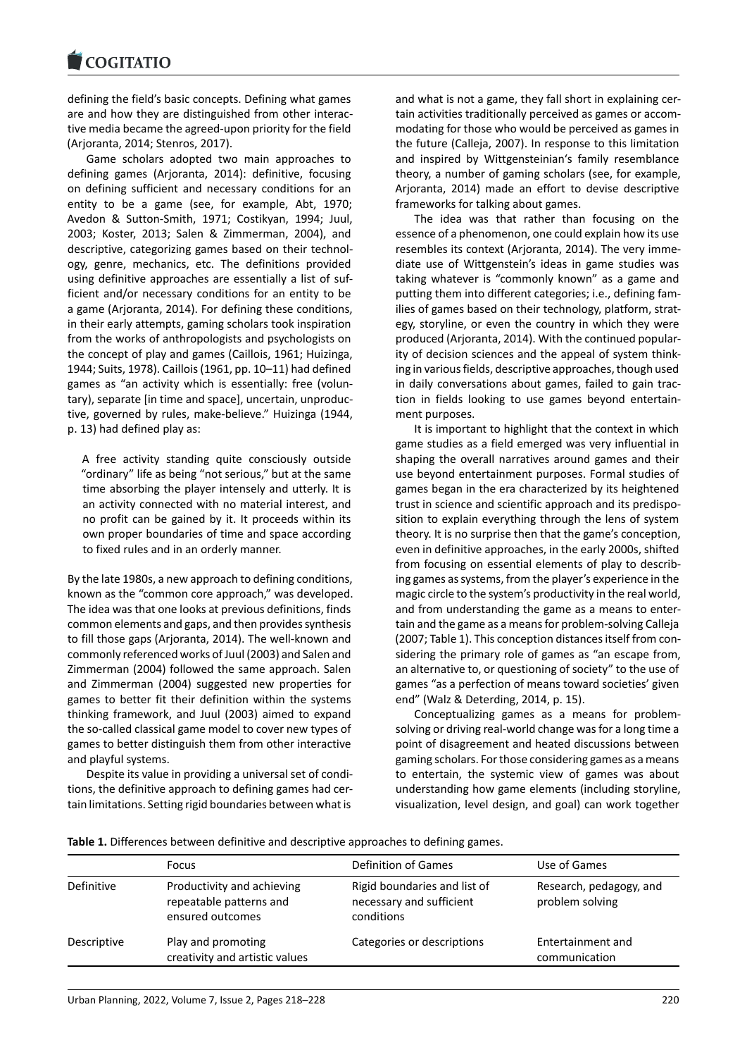defining the field's basic concepts. Defining what games [are and how they ar](https://www.cogitatiopress.com)e distinguished from other interac‐ tive media became the agreed‐upon priority for the field (Arjoranta, 2014; Stenros, 2017).

Game scholars adopted two main approaches to defining games (Arjoranta, 2014): definitive, focusing on defining sufficient and necessary conditions for an entity to be a game (see, for example, Abt, 1970; Avedon & Sutton‐Smith, 1971; Costikyan, 1994; Juul, 2003; Koster, 2013; Salen & Zimmerman, 2004), and descriptive, categorizing games based on their technol‐ ogy, genre, mechanics, etc. The definitions provided using definitive approaches are essentially a list of suf‐ ficient and/or necessary conditions for an entity to be a game (Arjoranta, 2014). For defining these conditions, in their early attempts, gaming scholars took inspiration from the works of anthropologists and psychologists on the concept of play and games (Caillois, 1961; Huizinga, 1944; Suits, 1978). Caillois (1961, pp. 10–11) had defined games as "an activity which is essentially: free (volun‐ tary), separate [in time and space], uncertain, unproduc‐ tive, governed by rules, make‐believe." Huizinga (1944, p. 13) had defined play as:

A free activity standing quite consciously outside "ordinary" life as being "not serious," but at the same time absorbing the player intensely and utterly. It is an activity connected with no material interest, and no profit can be gained by it. It proceeds within its own proper boundaries of time and space according to fixed rules and in an orderly manner.

By the late 1980s, a new approach to defining conditions, known as the "common core approach," was developed. The idea was that one looks at previous definitions, finds common elements and gaps, and then provides synthesis to fill those gaps (Arjoranta, 2014). The well‐known and commonly referenced works of Juul (2003) and Salen and Zimmerman (2004) followed the same approach. Salen and Zimmerman (2004) suggested new properties for games to better fit their definition within the systems thinking framework, and Juul (2003) aimed to expand the so‐called classical game model to cover new types of games to better distinguish them from other interactive and playful systems.

Despite its value in providing a universal set of condi‐ tions, the definitive approach to defining games had cer‐ tain limitations. Setting rigid boundaries between what is

and what is not a game, they fall short in explaining cer‐ tain activities traditionally perceived as games or accom‐ modating for those who would be perceived as games in the future (Calleja, 2007). In response to this limitation and inspired by Wittgensteinian's family resemblance theory, a number of gaming scholars (see, for example, Arjoranta, 2014) made an effort to devise descriptive frameworks for talking about games.

The idea was that rather than focusing on the essence of a phenomenon, one could explain how its use resembles its context (Arjoranta, 2014). The very imme‐ diate use of Wittgenstein's ideas in game studies was taking whatever is "commonly known" as a game and putting them into different categories; i.e., defining fam‐ ilies of games based on their technology, platform, strategy, storyline, or even the country in which they were produced (Arjoranta, 2014). With the continued popular‐ ity of decision sciences and the appeal of system think‐ ing in various fields, descriptive approaches, though used in daily conversations about games, failed to gain traction in fields looking to use games beyond entertain‐ ment purposes.

It is important to highlight that the context in which game studies as a field emerged was very influential in shaping the overall narratives around games and their use beyond entertainment purposes. Formal studies of games began in the era characterized by its heightened trust in science and scientific approach and its predispo‐ sition to explain everything through the lens of system theory. It is no surprise then that the game's conception, even in definitive approaches, in the early 2000s, shifted from focusing on essential elements of play to describ‐ ing games as systems, from the player's experience in the magic circle to the system's productivity in the real world, and from understanding the game as a means to enter‐ tain and the game as a means for problem‐solving Calleja (2007; Table 1). This conception distances itself from con‐ sidering the primary role of games as "an escape from, an alternative to, or questioning of society" to the use of games "as a perfection of means toward societies' given end" (Walz & Deterding, 2014, p. 15).

Conceptualizing games as a means for problem‐ solving or driving real‐world change was for a long time a point of disagreement and heated discussions between gaming scholars. For those considering games as a means to entertain, the systemic view of games was about understanding how game elements (including storyline, visualization, level design, and goal) can work together

| Table 1. Differences between definitive and descriptive approaches to defining games. |  |  |
|---------------------------------------------------------------------------------------|--|--|
|---------------------------------------------------------------------------------------|--|--|

|             | <b>Focus</b>                                                              | Definition of Games                                                    | Use of Games                               |
|-------------|---------------------------------------------------------------------------|------------------------------------------------------------------------|--------------------------------------------|
| Definitive  | Productivity and achieving<br>repeatable patterns and<br>ensured outcomes | Rigid boundaries and list of<br>necessary and sufficient<br>conditions | Research, pedagogy, and<br>problem solving |
| Descriptive | Play and promoting<br>creativity and artistic values                      | Categories or descriptions                                             | Entertainment and<br>communication         |
|             |                                                                           |                                                                        |                                            |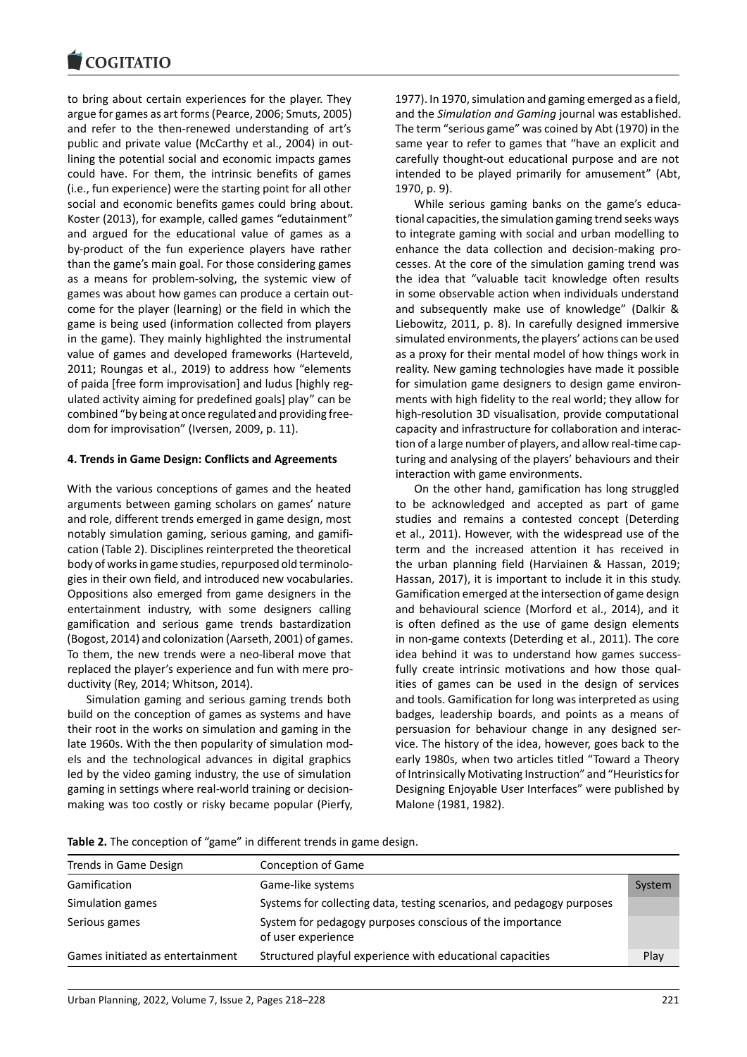#### COGHALIO

to bring about certain experiences for the player. They [argue for games as ar](https://www.cogitatiopress.com)t forms (Pearce, 2006; Smuts, 2005) and refer to the then-renewed understanding of art's public and private value (McCarthy et al., 2004) in out‐ lining the potential social and economic impacts games could have. For them, the intrinsic benefits of games (i.e., fun experience) were the starting point for all other social and economic benefits games could bring about. Koster (2013), for example, called games "edutainment" and argued for the educational value of games as a by‐product of the fun experience players have rather than the game's main goal. For those considering games as a means for problem‐solving, the systemic view of games was about how games can produce a certain out‐ come for the player (learning) or the field in which the game is being used (information collected from players in the game). They mainly highlighted the instrumental value of games and developed frameworks (Harteveld, 2011; Roungas et al., 2019) to address how "elements of paida [free form improvisation] and ludus [highly reg‐ ulated activity aiming for predefined goals] play" can be combined "by being at once regulated and providing free‐ dom for improvisation" (Iversen, 2009, p. 11).

### **4. Trends in Game Design: Conflicts and Agreements**

With the various conceptions of games and the heated arguments between gaming scholars on games' nature and role, different trends emerged in game design, most notably simulation gaming, serious gaming, and gamifi‐ cation (Table 2). Disciplines reinterpreted the theoretical body of works in game studies, repurposed old terminolo‐ gies in their own field, and introduced new vocabularies. Oppositions also emerged from game designers in the entertainment industry, with some designers calling gamification and serious game trends bastardization (Bogost, 2014) and colonization (Aarseth, 2001) of games. To them, the new trends were a neo‐liberal move that replaced the player's experience and fun with mere pro‐ ductivity (Rey, 2014; Whitson, 2014).

Simulation gaming and serious gaming trends both build on the conception of games as systems and have their root in the works on simulation and gaming in the late 1960s. With the then popularity of simulation mod‐ els and the technological advances in digital graphics led by the video gaming industry, the use of simulation gaming in settings where real‐world training or decision‐ making was too costly or risky became popular (Pierfy, 1977). In 1970, simulation and gaming emerged as a field, and the *Simulation and Gaming* journal was established. The term "serious game" was coined by Abt (1970) in the same year to refer to games that "have an explicit and carefully thought‐out educational purpose and are not intended to be played primarily for amusement" (Abt, 1970, p. 9).

While serious gaming banks on the game's educa‐ tional capacities, the simulation gaming trend seeks ways to integrate gaming with social and urban modelling to enhance the data collection and decision-making processes. At the core of the simulation gaming trend was the idea that "valuable tacit knowledge often results in some observable action when individuals understand and subsequently make use of knowledge" (Dalkir & Liebowitz, 2011, p. 8). In carefully designed immersive simulated environments, the players' actions can be used as a proxy for their mental model of how things work in reality. New gaming technologies have made it possible for simulation game designers to design game environments with high fidelity to the real world; they allow for high-resolution 3D visualisation, provide computational capacity and infrastructure for collaboration and interac‐ tion of a large number of players, and allow real-time capturing and analysing of the players' behaviours and their interaction with game environments.

On the other hand, gamification has long struggled to be acknowledged and accepted as part of game studies and remains a contested concept (Deterding et al., 2011). However, with the widespread use of the term and the increased attention it has received in the urban planning field (Harviainen & Hassan, 2019; Hassan, 2017), it is important to include it in this study. Gamification emerged at the intersection of game design and behavioural science (Morford et al., 2014), and it is often defined as the use of game design elements in non‐game contexts (Deterding et al., 2011). The core idea behind it was to understand how games success‐ fully create intrinsic motivations and how those qualities of games can be used in the design of services and tools. Gamification for long was interpreted as using badges, leadership boards, and points as a means of persuasion for behaviour change in any designed ser‐ vice. The history of the idea, however, goes back to the early 1980s, when two articles titled "Toward a Theory of Intrinsically Motivating Instruction" and "Heuristics for Designing Enjoyable User Interfaces" were published by Malone (1981, 1982).

| Trends in Game Design            | Conception of Game                                                             |        |
|----------------------------------|--------------------------------------------------------------------------------|--------|
| Gamification                     | Game-like systems                                                              | System |
| Simulation games                 | Systems for collecting data, testing scenarios, and pedagogy purposes          |        |
| Serious games                    | System for pedagogy purposes conscious of the importance<br>of user experience |        |
| Games initiated as entertainment | Structured playful experience with educational capacities                      | Play   |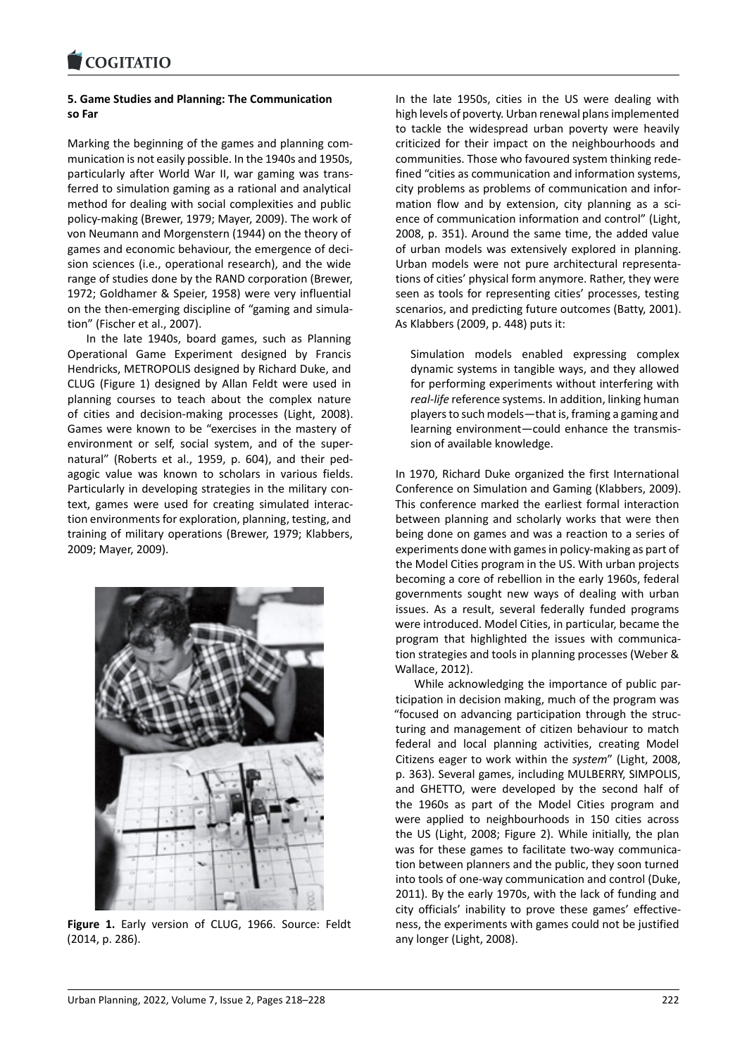### **5. Game Studies and Planning: The Communication [so Far](https://www.cogitatiopress.com)**

Marking the beginning of the games and planning com‐ munication is not easily possible. In the 1940s and 1950s, particularly after World War II, war gaming was trans‐ ferred to simulation gaming as a rational and analytical method for dealing with social complexities and public policy‐making (Brewer, 1979; Mayer, 2009). The work of von Neumann and Morgenstern (1944) on the theory of games and economic behaviour, the emergence of deci‐ sion sciences (i.e., operational research), and the wide range of studies done by the RAND corporation (Brewer, 1972; Goldhamer & Speier, 1958) were very influential on the then-emerging discipline of "gaming and simulation" (Fischer et al., 2007).

In the late 1940s, board games, such as Planning Operational Game Experiment designed by Francis Hendricks, METROPOLIS designed by Richard Duke, and CLUG (Figure 1) designed by Allan Feldt were used in planning courses to teach about the complex nature of cities and decision‐making processes (Light, 2008). Games were known to be "exercises in the mastery of environment or self, social system, and of the super‐ natural" (Roberts et al., 1959, p. 604), and their ped‐ agogic value was known to scholars in various fields. Particularly in developing strategies in the military con‐ text, games were used for creating simulated interac‐ tion environments for exploration, planning, testing, and training of military operations (Brewer, 1979; Klabbers, 2009; Mayer, 2009).



**Figure 1.** Early version of CLUG, 1966. Source: Feldt (2014, p. 286).

In the late 1950s, cities in the US were dealing with high levels of poverty. Urban renewal plans implemented to tackle the widespread urban poverty were heavily criticized for their impact on the neighbourhoods and communities. Those who favoured system thinking rede‐ fined "cities as communication and information systems, city problems as problems of communication and infor‐ mation flow and by extension, city planning as a science of communication information and control" (Light, 2008, p. 351). Around the same time, the added value of urban models was extensively explored in planning. Urban models were not pure architectural representa‐ tions of cities' physical form anymore. Rather, they were seen as tools for representing cities' processes, testing scenarios, and predicting future outcomes (Batty, 2001). As Klabbers (2009, p. 448) puts it:

Simulation models enabled expressing complex dynamic systems in tangible ways, and they allowed for performing experiments without interfering with *real‐life* reference systems. In addition, linking human players to such models—that is, framing a gaming and learning environment—could enhance the transmis‐ sion of available knowledge.

In 1970, Richard Duke organized the first International Conference on Simulation and Gaming (Klabbers, 2009). This conference marked the earliest formal interaction between planning and scholarly works that were then being done on games and was a reaction to a series of experiments done with games in policy‐making as part of the Model Cities program in the US. With urban projects becoming a core of rebellion in the early 1960s, federal governments sought new ways of dealing with urban issues. As a result, several federally funded programs were introduced. Model Cities, in particular, became the program that highlighted the issues with communica‐ tion strategies and tools in planning processes (Weber & Wallace, 2012).

While acknowledging the importance of public participation in decision making, much of the program was "focused on advancing participation through the struc‐ turing and management of citizen behaviour to match federal and local planning activities, creating Model Citizens eager to work within the *system*" (Light, 2008, p. 363). Several games, including MULBERRY, SIMPOLIS, and GHETTO, were developed by the second half of the 1960s as part of the Model Cities program and were applied to neighbourhoods in 150 cities across the US (Light, 2008; Figure 2). While initially, the plan was for these games to facilitate two-way communication between planners and the public, they soon turned into tools of one‐way communication and control (Duke, 2011). By the early 1970s, with the lack of funding and city officials' inability to prove these games' effective‐ ness, the experiments with games could not be justified any longer (Light, 2008).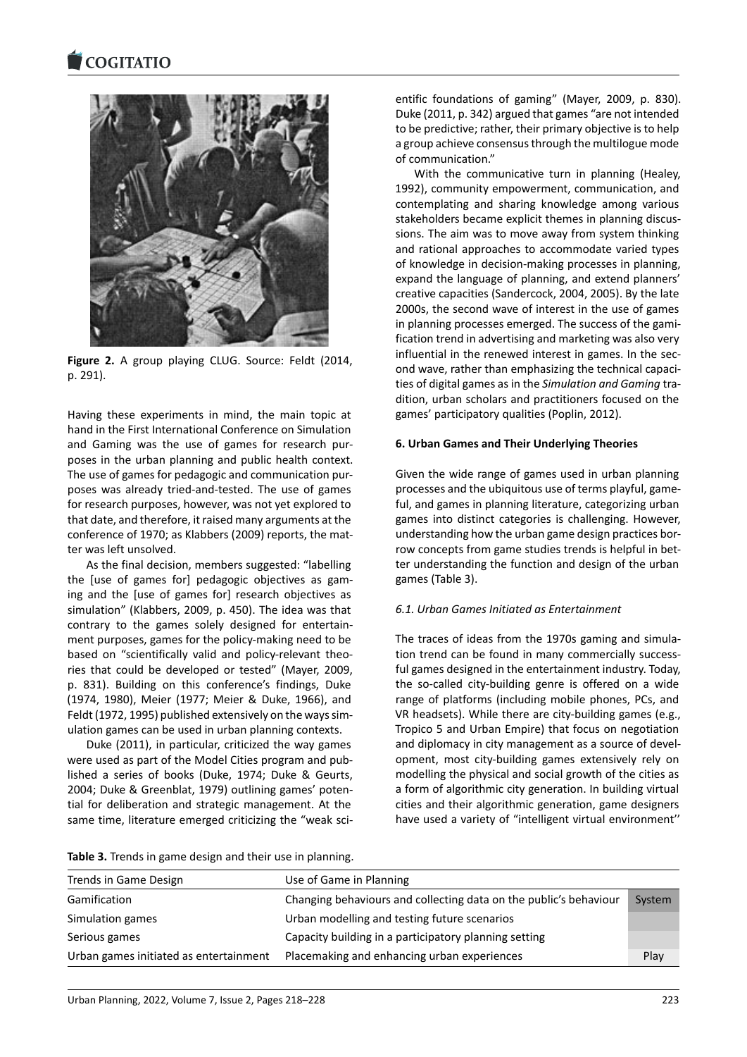#### COQUATIO



**Figure 2.** A group playing CLUG. Source: Feldt (2014, p. 291).

Having these experiments in mind, the main topic at hand in the First International Conference on Simulation and Gaming was the use of games for research pur‐ poses in the urban planning and public health context. The use of games for pedagogic and communication pur‐ poses was already tried‐and‐tested. The use of games for research purposes, however, was not yet explored to that date, and therefore, it raised many arguments at the conference of 1970; as Klabbers (2009) reports, the mat‐ ter was left unsolved.

As the final decision, members suggested: "labelling the [use of games for] pedagogic objectives as gam‐ ing and the [use of games for] research objectives as simulation" (Klabbers, 2009, p. 450). The idea was that contrary to the games solely designed for entertain‐ ment purposes, games for the policy‐making need to be based on "scientifically valid and policy-relevant theories that could be developed or tested" (Mayer, 2009, p. 831). Building on this conference's findings, Duke (1974, 1980), Meier (1977; Meier & Duke, 1966), and Feldt (1972, 1995) published extensively on the ways sim‐ ulation games can be used in urban planning contexts.

Duke (2011), in particular, criticized the way games were used as part of the Model Cities program and pub‐ lished a series of books (Duke, 1974; Duke & Geurts, 2004; Duke & Greenblat, 1979) outlining games' poten‐ tial for deliberation and strategic management. At the same time, literature emerged criticizing the "weak sci-

entific foundations of gaming" (Mayer, 2009, p. 830). Duke (2011, p. 342) argued that games "are not intended to be predictive; rather, their primary objective is to help a group achieve consensus through the multilogue mode of communication."

With the communicative turn in planning (Healey, 1992), community empowerment, communication, and contemplating and sharing knowledge among various stakeholders became explicit themes in planning discus‐ sions. The aim was to move away from system thinking and rational approaches to accommodate varied types of knowledge in decision‐making processes in planning, expand the language of planning, and extend planners' creative capacities (Sandercock, 2004, 2005). By the late 2000s, the second wave of interest in the use of games in planning processes emerged. The success of the gami‐ fication trend in advertising and marketing was also very influential in the renewed interest in games. In the second wave, rather than emphasizing the technical capaci‐ ties of digital games as in the *Simulation and Gaming* tra‐ dition, urban scholars and practitioners focused on the games' participatory qualities (Poplin, 2012).

### **6. Urban Games and Their Underlying Theories**

Given the wide range of games used in urban planning processes and the ubiquitous use of terms playful, game‐ ful, and games in planning literature, categorizing urban games into distinct categories is challenging. However, understanding how the urban game design practices bor‐ row concepts from game studies trends is helpful in better understanding the function and design of the urban games (Table 3).

### *6.1. Urban Games Initiated as Entertainment*

The traces of ideas from the 1970s gaming and simula‐ tion trend can be found in many commercially success‐ ful games designed in the entertainment industry. Today, the so-called city-building genre is offered on a wide range of platforms (including mobile phones, PCs, and VR headsets). While there are city-building games (e.g., Tropico 5 and Urban Empire) that focus on negotiation and diplomacy in city management as a source of devel‐ opment, most city‐building games extensively rely on modelling the physical and social growth of the cities as a form of algorithmic city generation. In building virtual cities and their algorithmic generation, game designers have used a variety of "intelligent virtual environment''

| Table 3. Trends in game design and their use in planning. |
|-----------------------------------------------------------|
|-----------------------------------------------------------|

| Trends in Game Design                  | Use of Game in Planning                                           |        |
|----------------------------------------|-------------------------------------------------------------------|--------|
| Gamification                           | Changing behaviours and collecting data on the public's behaviour | System |
| Simulation games                       | Urban modelling and testing future scenarios                      |        |
| Serious games                          | Capacity building in a participatory planning setting             |        |
| Urban games initiated as entertainment | Placemaking and enhancing urban experiences                       | Play   |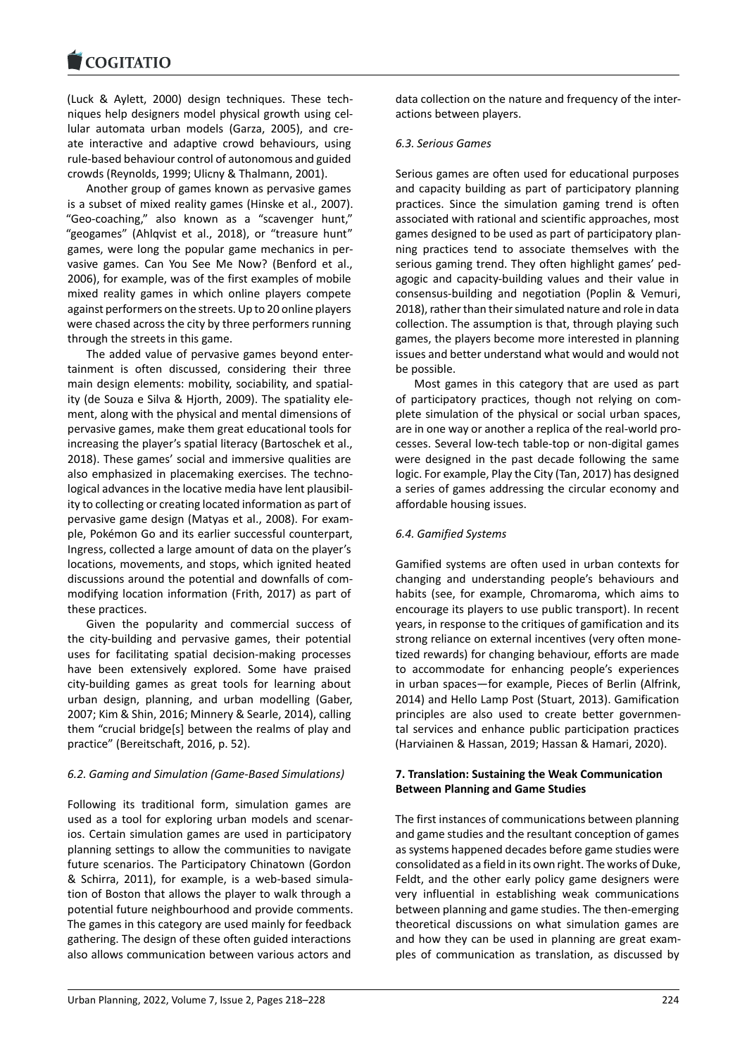(Luck & Aylett, 2000) design techniques. These tech‐ [niques help designer](https://www.cogitatiopress.com)s model physical growth using cel‐ lular automata urban models (Garza, 2005), and cre‐ ate interactive and adaptive crowd behaviours, using rule‐based behaviour control of autonomous and guided crowds (Reynolds, 1999; Ulicny & Thalmann, 2001).

Another group of games known as pervasive games is a subset of mixed reality games (Hinske et al., 2007). "Geo‐coaching," also known as a "scavenger hunt," "geogames" (Ahlqvist et al., 2018), or "treasure hunt" games, were long the popular game mechanics in per‐ vasive games. Can You See Me Now? (Benford et al., 2006), for example, was of the first examples of mobile mixed reality games in which online players compete against performers on the streets. Up to 20 online players were chased across the city by three performers running through the streets in this game.

The added value of pervasive games beyond enter‐ tainment is often discussed, considering their three main design elements: mobility, sociability, and spatial‐ ity (de Souza e Silva & Hjorth, 2009). The spatiality ele‐ ment, along with the physical and mental dimensions of pervasive games, make them great educational tools for increasing the player's spatial literacy (Bartoschek et al., 2018). These games' social and immersive qualities are also emphasized in placemaking exercises. The techno‐ logical advances in the locative media have lent plausibil‐ ity to collecting or creating located information as part of pervasive game design (Matyas et al., 2008). For exam‐ ple, Pokémon Go and its earlier successful counterpart, Ingress, collected a large amount of data on the player's locations, movements, and stops, which ignited heated discussions around the potential and downfalls of com‐ modifying location information (Frith, 2017) as part of these practices.

Given the popularity and commercial success of the city‐building and pervasive games, their potential uses for facilitating spatial decision‐making processes have been extensively explored. Some have praised city‐building games as great tools for learning about urban design, planning, and urban modelling (Gaber, 2007; Kim & Shin, 2016; Minnery & Searle, 2014), calling them "crucial bridge[s] between the realms of play and practice" (Bereitschaft, 2016, p. 52).

### *6.2. Gaming and Simulation (Game‐Based Simulations)*

Following its traditional form, simulation games are used as a tool for exploring urban models and scenar‐ ios. Certain simulation games are used in participatory planning settings to allow the communities to navigate future scenarios. The Participatory Chinatown (Gordon & Schirra, 2011), for example, is a web‐based simula‐ tion of Boston that allows the player to walk through a potential future neighbourhood and provide comments. The games in this category are used mainly for feedback gathering. The design of these often guided interactions also allows communication between various actors and

data collection on the nature and frequency of the inter‐ actions between players.

### *6.3. Serious Games*

Serious games are often used for educational purposes and capacity building as part of participatory planning practices. Since the simulation gaming trend is often associated with rational and scientific approaches, most games designed to be used as part of participatory plan‐ ning practices tend to associate themselves with the serious gaming trend. They often highlight games' ped‐ agogic and capacity‐building values and their value in consensus‐building and negotiation (Poplin & Vemuri, 2018), rather than their simulated nature and role in data collection. The assumption is that, through playing such games, the players become more interested in planning issues and better understand what would and would not be possible.

Most games in this category that are used as part of participatory practices, though not relying on com‐ plete simulation of the physical or social urban spaces, are in one way or another a replica of the real‐world pro‐ cesses. Several low‐tech table‐top or non‐digital games were designed in the past decade following the same logic. For example, Play the City (Tan, 2017) has designed a series of games addressing the circular economy and affordable housing issues.

### *6.4. Gamified Systems*

Gamified systems are often used in urban contexts for changing and understanding people's behaviours and habits (see, for example, Chromaroma, which aims to encourage its players to use public transport). In recent years, in response to the critiques of gamification and its strong reliance on external incentives (very often mone‐ tized rewards) for changing behaviour, efforts are made to accommodate for enhancing people's experiences in urban spaces—for example, Pieces of Berlin (Alfrink, 2014) and Hello Lamp Post (Stuart, 2013). Gamification principles are also used to create better governmen‐ tal services and enhance public participation practices (Harviainen & Hassan, 2019; Hassan & Hamari, 2020).

### **7. Translation: Sustaining the Weak Communication Between Planning and Game Studies**

The first instances of communications between planning and game studies and the resultant conception of games as systems happened decades before game studies were consolidated as a field in its own right. The works of Duke, Feldt, and the other early policy game designers were very influential in establishing weak communications between planning and game studies. The then‐emerging theoretical discussions on what simulation games are and how they can be used in planning are great exam‐ ples of communication as translation, as discussed by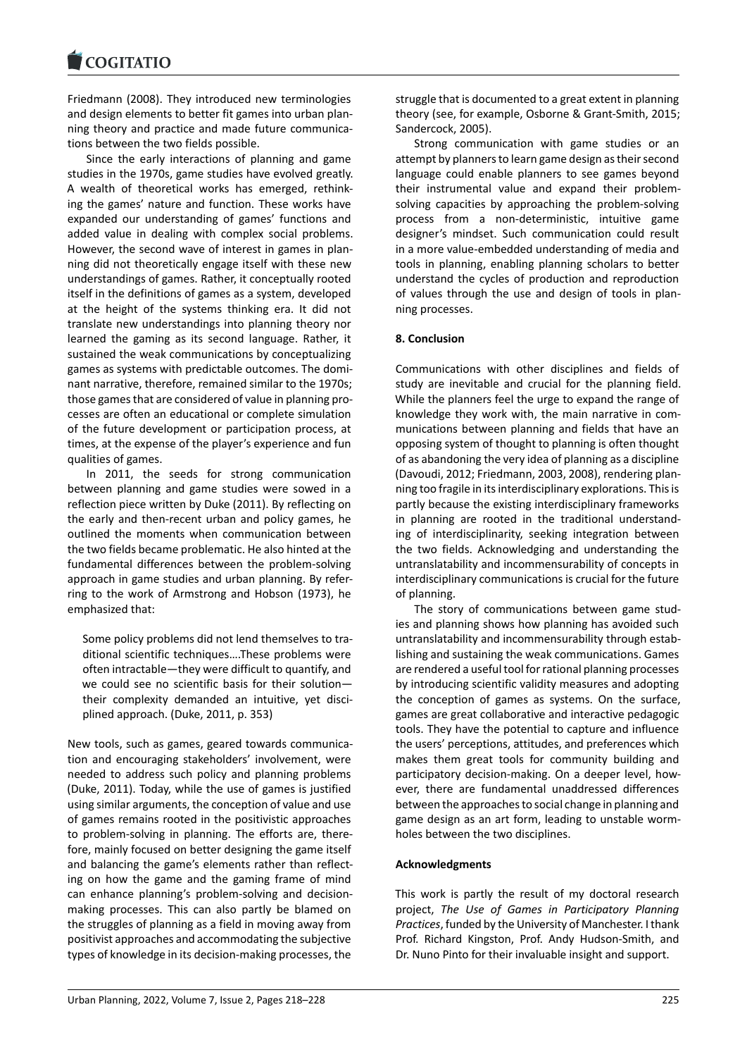Friedmann (2008). They introduced new terminologies [and design elements](https://www.cogitatiopress.com) to better fit games into urban plan‐ ning theory and practice and made future communica‐ tions between the two fields possible.

Since the early interactions of planning and game studies in the 1970s, game studies have evolved greatly. A wealth of theoretical works has emerged, rethink‐ ing the games' nature and function. These works have expanded our understanding of games' functions and added value in dealing with complex social problems. However, the second wave of interest in games in plan‐ ning did not theoretically engage itself with these new understandings of games. Rather, it conceptually rooted itself in the definitions of games as a system, developed at the height of the systems thinking era. It did not translate new understandings into planning theory nor learned the gaming as its second language. Rather, it sustained the weak communications by conceptualizing games as systems with predictable outcomes. The domi‐ nant narrative, therefore, remained similar to the 1970s; those games that are considered of value in planning pro‐ cesses are often an educational or complete simulation of the future development or participation process, at times, at the expense of the player's experience and fun qualities of games.

In 2011, the seeds for strong communication between planning and game studies were sowed in a reflection piece written by Duke (2011). By reflecting on the early and then‐recent urban and policy games, he outlined the moments when communication between the two fields became problematic. He also hinted at the fundamental differences between the problem‐solving approach in game studies and urban planning. By refer‐ ring to the work of Armstrong and Hobson (1973), he emphasized that:

Some policy problems did not lend themselves to tra‐ ditional scientific techniques….These problems were often intractable—they were difficult to quantify, and we could see no scientific basis for their solution their complexity demanded an intuitive, yet disci‐ plined approach. (Duke, 2011, p. 353)

New tools, such as games, geared towards communica‐ tion and encouraging stakeholders' involvement, were needed to address such policy and planning problems (Duke, 2011). Today, while the use of games is justified using similar arguments, the conception of value and use of games remains rooted in the positivistic approaches to problem‐solving in planning. The efforts are, there‐ fore, mainly focused on better designing the game itself and balancing the game's elements rather than reflect‐ ing on how the game and the gaming frame of mind can enhance planning's problem‐solving and decision‐ making processes. This can also partly be blamed on the struggles of planning as a field in moving away from positivist approaches and accommodating the subjective types of knowledge in its decision‐making processes, the

struggle that is documented to a great extent in planning theory (see, for example, Osborne & Grant‐Smith, 2015; Sandercock, 2005).

Strong communication with game studies or an attempt by planners to learn game design as their second language could enable planners to see games beyond their instrumental value and expand their problem‐ solving capacities by approaching the problem‐solving process from a non‐deterministic, intuitive game designer's mindset. Such communication could result in a more value‐embedded understanding of media and tools in planning, enabling planning scholars to better understand the cycles of production and reproduction of values through the use and design of tools in plan‐ ning processes.

### **8. Conclusion**

Communications with other disciplines and fields of study are inevitable and crucial for the planning field. While the planners feel the urge to expand the range of knowledge they work with, the main narrative in com‐ munications between planning and fields that have an opposing system of thought to planning is often thought of as abandoning the very idea of planning as a discipline (Davoudi, 2012; Friedmann, 2003, 2008), rendering plan‐ ning too fragile in its interdisciplinary explorations. This is partly because the existing interdisciplinary frameworks in planning are rooted in the traditional understand‐ ing of interdisciplinarity, seeking integration between the two fields. Acknowledging and understanding the untranslatability and incommensurability of concepts in interdisciplinary communications is crucial for the future of planning.

The story of communications between game stud‐ ies and planning shows how planning has avoided such untranslatability and incommensurability through estab‐ lishing and sustaining the weak communications. Games are rendered a useful tool for rational planning processes by introducing scientific validity measures and adopting the conception of games as systems. On the surface, games are great collaborative and interactive pedagogic tools. They have the potential to capture and influence the users' perceptions, attitudes, and preferences which makes them great tools for community building and participatory decision-making. On a deeper level, however, there are fundamental unaddressed differences between the approaches to social change in planning and game design as an art form, leading to unstable worm‐ holes between the two disciplines.

### **Acknowledgments**

This work is partly the result of my doctoral research project, *The Use of Games in Participatory Planning Practices*, funded by the University of Manchester. I thank Prof. Richard Kingston, Prof. Andy Hudson‐Smith, and Dr. Nuno Pinto for their invaluable insight and support.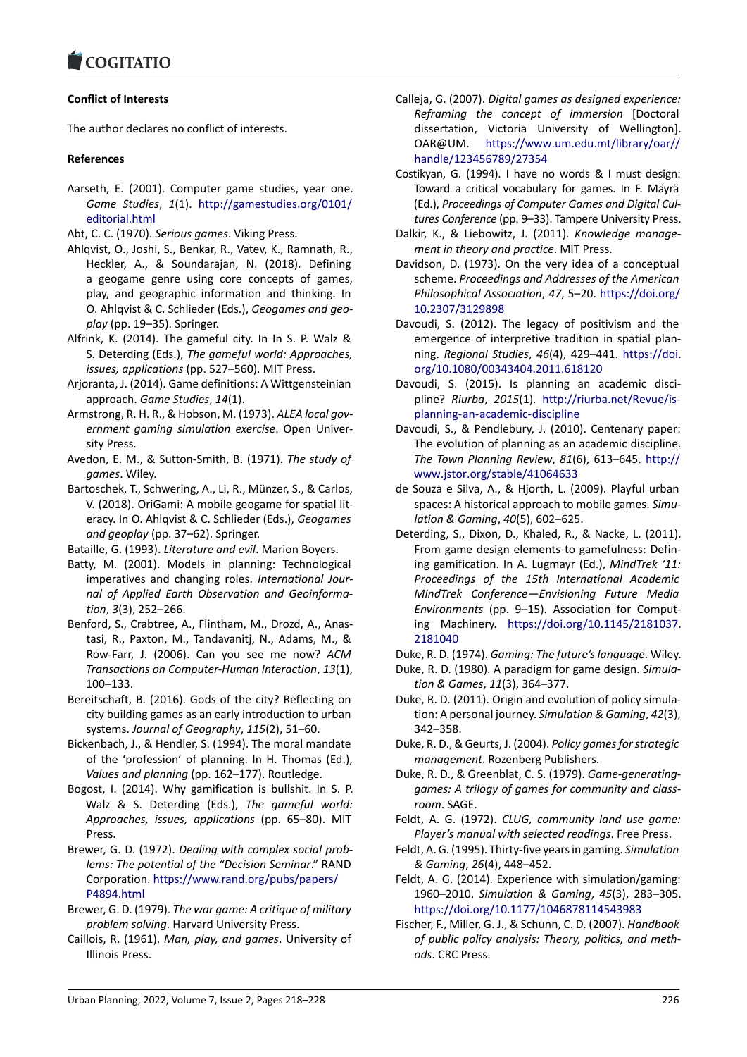### **Conflict of Interests**

[The author declares](https://www.cogitatiopress.com) no conflict of interests.

### **References**

- Aarseth, E. (2001). Computer game studies, year one. *Game Studies*, *1*(1). http://gamestudies.org/0101/ editorial.html
- Abt, C. C. (1970). *Serious games*. Viking Press.
- Ahlqvist, O., Joshi, S., Benkar, R., Vatev, K., Ramnath, R., Heckler, A., & Soun[darajan, N. \(2018\). Defining](http://gamestudies.org/0101/editorial.html) [a geogame g](http://gamestudies.org/0101/editorial.html)enre using core concepts of games, play, and geographic information and thinking. In O. Ahlqvist & C. Schlieder (Eds.), *Geogames and geo‐ play* (pp. 19–35). Springer.
- Alfrink, K. (2014). The gameful city. In In S. P. Walz & S. Deterding (Eds.), *The gameful world: Approaches, issues, applications* (pp. 527–560). MIT Press.
- Arjoranta, J. (2014). Game definitions: A Wittgensteinian approach. *Game Studies*, *14*(1).
- Armstrong, R. H. R., & Hobson, M. (1973). *ALEA local gov‐ ernment gaming simulation exercise*. Open Univer‐ sity Press.
- Avedon, E. M., & Sutton‐Smith, B. (1971). *The study of games*. Wiley.
- Bartoschek, T., Schwering, A., Li, R., Münzer, S., & Carlos, V. (2018). OriGami: A mobile geogame for spatial lit‐ eracy. In O. Ahlqvist & C. Schlieder (Eds.), *Geogames and geoplay* (pp. 37–62). Springer.
- Bataille, G. (1993). *Literature and evil*. Marion Boyers.
- Batty, M. (2001). Models in planning: Technological imperatives and changing roles. *International Jour‐ nal of Applied Earth Observation and Geoinforma‐ tion*, *3*(3), 252–266.
- Benford, S., Crabtree, A., Flintham, M., Drozd, A., Anas‐ tasi, R., Paxton, M., Tandavanitj, N., Adams, M., & Row‐Farr, J. (2006). Can you see me now? *ACM Transactions on Computer‐Human Interaction*, *13*(1), 100–133.
- Bereitschaft, B. (2016). Gods of the city? Reflecting on city building games as an early introduction to urban systems. *Journal of Geography*, *115*(2), 51–60.
- Bickenbach, J., & Hendler, S. (1994). The moral mandate of the 'profession' of planning. In H. Thomas (Ed.), *Values and planning* (pp. 162–177). Routledge.
- Bogost, I. (2014). Why gamification is bullshit. In S. P. Walz & S. Deterding (Eds.), *The gameful world: Approaches, issues, applications* (pp. 65–80). MIT Press.
- Brewer, G. D. (1972). *Dealing with complex social prob‐ lems: The potential of the "Decision Seminar*." RAND Corporation. https://www.rand.org/pubs/papers/ P4894.html
- Brewer, G. D. (1979). *The war game: A critique of military problem solving*. Harvard University Press.
- Caillois, R. (1961). *[Man, play, and games](https://www.rand.org/pubs/papers/P4894.html)*. University of [Illinois Press](https://www.rand.org/pubs/papers/P4894.html).
- Calleja, G. (2007). *Digital games as designed experience: Reframing the concept of immersion* [Doctoral dissertation, Victoria University of Wellington]. OAR@UM. https://www.um.edu.mt/library/oar// handle/123456789/27354
- Costikyan, G. (1994). I have no words & I must design: Toward a critical vocabulary for games. In F. Mäyrä (Ed.), *Proceedi[ngs of Computer Games and Digital Cul‐](https://www.um.edu.mt/library/oar//handle/123456789/27354) [tures Conference](https://www.um.edu.mt/library/oar//handle/123456789/27354)* (pp. 9–33). Tampere University Press.
- Dalkir, K., & Liebowitz, J. (2011). *Knowledge manage‐ ment in theory and practice*. MIT Press.
- Davidson, D. (1973). On the very idea of a conceptual scheme. *Proceedings and Addresses of the American Philosophical Association*, *47*, 5–20. https://doi.org/ 10.2307/3129898
- Davoudi, S. (2012). The legacy of positivism and the emergence of interpretive tradition in spatial plan‐ ning. *Regional Studies*, *46*(4), 429–441. [https://doi.](https://doi.org/10.2307/3129898) [org/10.1080/0034](https://doi.org/10.2307/3129898)3404.2011.618120
- Davoudi, S. (2015). Is planning an academic discipline? *Riurba*, *2015*(1). http://riurba.net/Revue/is‐ planning‐an‐academic‐discipline
- Da[voudi, S., & Pendlebury, J. \(2010\). Ce](https://doi.org/10.1080/00343404.2011.618120)nte[nary paper:](https://doi.org/10.1080/00343404.2011.618120) The evolution of planning as an academic discipline. *The Town Planning Review*, *81*[\(6\), 613–645.](http://riurba.net/Revue/is-planning-an-academic-discipline) http:// [www.jstor.org/stable/41064633](http://riurba.net/Revue/is-planning-an-academic-discipline)
- de Souza e Silva, A., & Hjorth, L. (2009). Playful urban spaces: A historical approach to mobile games. *Simu‐ lation & Gaming*, *40*(5), 602–625.
- Det[erding, S., Dixon, D., Khaled, R.,](http://www.jstor.org/stable/41064633) & Nacke, L. (2011). From game design elements to gamefulness: Defin‐ ing gamification. In A. Lugmayr (Ed.), *MindTrek '11: Proceedings of the 15th International Academic MindTrek Conference—Envisioning Future Media Environments* (pp. 9–15). Association for Comput‐ ing Machinery. https://doi.org/10.1145/2181037. 2181040
- Duke, R. D. (1974). *Gaming: The future's language*. Wiley.
- Duke, R. D. (1980). A paradigm for game design. *Simula‐ tion & Games*, *11*([3\), 364–377.](https://doi.org/10.1145/2181037.2181040)
- Du[ke, R. D. \(2](https://doi.org/10.1145/2181037.2181040)011). Origin and evolution of policy simula‐ tion: A personal journey. *Simulation & Gaming*, *42*(3), 342–358.
- Duke, R. D., & Geurts, J. (2004). *Policy games for strategic management*. Rozenberg Publishers.
- Duke, R. D., & Greenblat, C. S. (1979). *Game‐generating‐ games: A trilogy of games for community and class‐ room*. SAGE.
- Feldt, A. G. (1972). *CLUG, community land use game: Player's manual with selected readings*. Free Press.
- Feldt, A. G. (1995). Thirty‐five years in gaming. *Simulation & Gaming*, *26*(4), 448–452.
- Feldt, A. G. (2014). Experience with simulation/gaming: 1960–2010. *Simulation & Gaming*, *45*(3), 283–305. https://doi.org/10.1177/1046878114543983
- Fischer, F., Miller, G. J., & Schunn, C. D. (2007). *Handbook of public policy analysis: Theory, politics, and meth‐ ods*. CRC Press.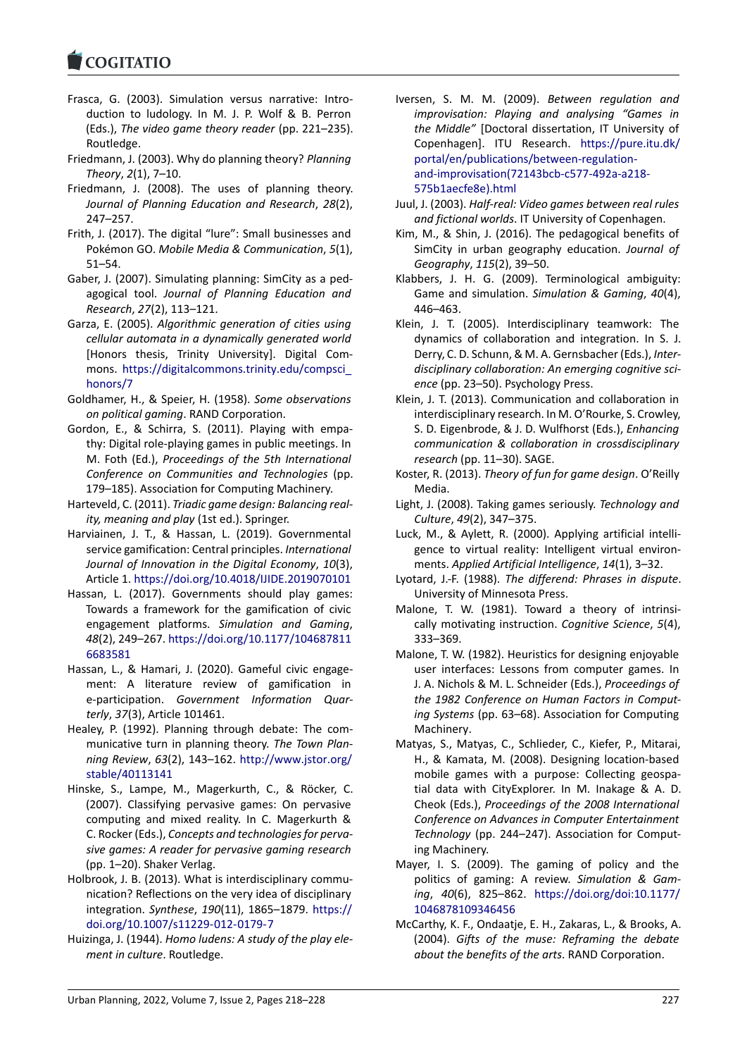- Frasca, G. (2003). Simulation versus narrative: Intro[duction to ludol](https://www.cogitatiopress.com)ogy. In M. J. P. Wolf & B. Perron (Eds.), *The video game theory reader* (pp. 221–235). Routledge.
- Friedmann, J. (2003). Why do planning theory? *Planning Theory*, *2*(1), 7–10.
- Friedmann, J. (2008). The uses of planning theory. *Journal of Planning Education and Research*, *28*(2), 247–257.
- Frith, J. (2017). The digital "lure": Small businesses and Pokémon GO. *Mobile Media & Communication*, *5*(1), 51–54.
- Gaber, J. (2007). Simulating planning: SimCity as a ped‐ agogical tool. *Journal of Planning Education and Research*, *27*(2), 113–121.
- Garza, E. (2005). *Algorithmic generation of cities using cellular automata in a dynamically generated world* [Honors thesis, Trinity University]. Digital Com‐ mons. https://digitalcommons.trinity.edu/compsci\_ honors/7
- Goldhamer, H., & Speier, H. (1958). *Some observations on political gaming*. RAND Corporation.
- Gordon, E[., & Schirra, S. \(2011\). Playing with empa‐](https://digitalcommons.trinity.edu/compsci_honors/7) [thy: Digita](https://digitalcommons.trinity.edu/compsci_honors/7)l role‐playing games in public meetings. In M. Foth (Ed.), *Proceedings of the 5th International Conference on Communities and Technologies* (pp. 179–185). Association for Computing Machinery.
- Harteveld, C. (2011). *Triadic game design: Balancing real‐ ity, meaning and play* (1st ed.). Springer.
- Harviainen, J. T., & Hassan, L. (2019). Governmental service gamification: Central principles. *International Journal of Innovation in the Digital Economy*, *10*(3), Article 1. https://doi.org/10.4018/IJIDE.2019070101
- Hassan, L. (2017). Governments should play games: Towards a framework for the gamification of civic engagement platforms. *Simulation and Gaming*, *48*(2), 249–267. [https://doi.org/10.1177/104687811](https://doi.org/10.4018/IJIDE.2019070101) 6683581
- Hassan, L., & Hamari, J. (2020). Gameful civic engage‐ ment: A literature review of gamification in e‐participation. *[Government Information Quar‐](https://doi.org/10.1177/1046878116683581) [terly](https://doi.org/10.1177/1046878116683581)*, *37*(3), Article 101461.
- Healey, P. (1992). Planning through debate: The com‐ municative turn in planning theory. *The Town Plan‐ ning Review*, *63*(2), 143–162. http://www.jstor.org/ stable/40113141
- Hinske, S., Lampe, M., Magerkurth, C., & Röcker, C. (2007). Classifying pervasive games: On pervasive computing and mixed reality[. In C. Magerkurth &](http://www.jstor.org/stable/40113141) [C. Rocker \(Eds.\),](http://www.jstor.org/stable/40113141) *Concepts and technologies for perva‐ sive games: A reader for pervasive gaming research* (pp. 1–20). Shaker Verlag.
- Holbrook, J. B. (2013). What is interdisciplinary communication? Reflections on the very idea of disciplinary integration. *Synthese*, *190*(11), 1865–1879. https:// doi.org/10.1007/s11229‐012‐0179‐7
- Huizinga, J. (1944). *Homo ludens: A study of the play ele‐ ment in culture*. Routledge.
- Iversen, S. M. M. (2009). *Between regulation and improvisation: Playing and analysing "Games in the Middle"* [Doctoral dissertation, IT University of Copenhagen]. ITU Research. https://pure.itu.dk/ portal/en/publications/between‐regulation‐ and‐improvisation(72143bcb‐c577‐492a‐a218‐ 575b1aecfe8e).html
- Juul, J. (2003). *Half‐real: Video game[s between real rules](https://pure.itu.dk/portal/en/publications/between-regulation-and-improvisation(72143bcb-c577-492a-a218-575b1aecfe8e).html) and fictional worlds*[. IT University of Copenh](https://pure.itu.dk/portal/en/publications/between-regulation-and-improvisation(72143bcb-c577-492a-a218-575b1aecfe8e).html)agen.
- Ki[m, M., & Shin, J. \(2016\). The pedagogical benef](https://pure.itu.dk/portal/en/publications/between-regulation-and-improvisation(72143bcb-c577-492a-a218-575b1aecfe8e).html)its of [SimCity in urban ge](https://pure.itu.dk/portal/en/publications/between-regulation-and-improvisation(72143bcb-c577-492a-a218-575b1aecfe8e).html)ography education. *Journal of Geography*, *115*(2), 39–50.
- Klabbers, J. H. G. (2009). Terminological ambiguity: Game and simulation. *Simulation & Gaming*, *40*(4), 446–463.
- Klein, J. T. (2005). Interdisciplinary teamwork: The dynamics of collaboration and integration. In S. J. Derry, C. D. Schunn, & M. A. Gernsbacher (Eds.), *Inter‐ disciplinary collaboration: An emerging cognitive sci‐ ence* (pp. 23–50). Psychology Press.
- Klein, J. T. (2013). Communication and collaboration in interdisciplinary research. In M. O'Rourke, S. Crowley, S. D. Eigenbrode, & J. D. Wulfhorst (Eds.), *Enhancing communication & collaboration in crossdisciplinary research* (pp. 11–30). SAGE.
- Koster, R. (2013). *Theory of fun for game design*. O'Reilly Media.
- Light, J. (2008). Taking games seriously. *Technology and Culture*, *49*(2), 347–375.
- Luck, M., & Aylett, R. (2000). Applying artificial intelli‐ gence to virtual reality: Intelligent virtual environ‐ ments. *Applied Artificial Intelligence*, *14*(1), 3–32.
- Lyotard, J.‐F. (1988). *The differend: Phrases in dispute*. University of Minnesota Press.
- Malone, T. W. (1981). Toward a theory of intrinsically motivating instruction. *Cognitive Science*, *5*(4), 333–369.
- Malone, T. W. (1982). Heuristics for designing enjoyable user interfaces: Lessons from computer games. In J. A. Nichols & M. L. Schneider (Eds.), *Proceedings of the 1982 Conference on Human Factors in Comput‐ ing Systems* (pp. 63–68). Association for Computing Machinery.
- Matyas, S., Matyas, C., Schlieder, C., Kiefer, P., Mitarai, H., & Kamata, M. (2008). Designing location‐based mobile games with a purpose: Collecting geospa‐ tial data with CityExplorer. In M. Inakage & A. D. Cheok (Eds.), *Proceedings of the 2008 International Conference on Advances in Computer Entertainment Technology* (pp. 244–247). Association for Comput‐ ing Machinery.
- Mayer, I. S. (2009). The gaming of policy and the politics of gaming: A review. *Simulation & Gam‐ ing*, *40*(6), 825–862. https://doi.org/doi:10.1177/ 1046878109346456
- McCarthy, K. F., Ondaatje, E. H., Zakaras, L., & Brooks, A. (2004). *Gifts of the muse: Reframing the debate about the benefits of the arts*[. RAND Corporation.](https://doi.org/doi:10.1177/1046878109346456)